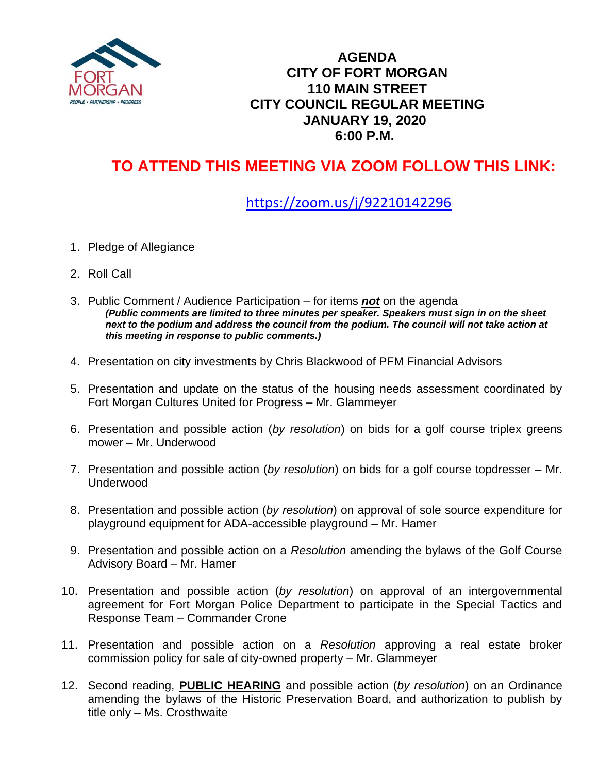

### **AGENDA CITY OF FORT MORGAN 110 MAIN STREET CITY COUNCIL REGULAR MEETING JANUARY 19, 2020 6:00 P.M.**

# **TO ATTEND THIS MEETING VIA ZOOM FOLLOW THIS LINK:**

## <https://zoom.us/j/92210142296>

- 1. Pledge of Allegiance
- 2. Roll Call
- 3. Public Comment / Audience Participation for items *not* on the agenda *(Public comments are limited to three minutes per speaker. Speakers must sign in on the sheet next to the podium and address the council from the podium. The council will not take action at this meeting in response to public comments.)*
- 4. Presentation on city investments by Chris Blackwood of PFM Financial Advisors
- 5. Presentation and update on the status of the housing needs assessment coordinated by Fort Morgan Cultures United for Progress – Mr. Glammeyer
- 6. Presentation and possible action (*by resolution*) on bids for a golf course triplex greens mower – Mr. Underwood
- 7. Presentation and possible action (*by resolution*) on bids for a golf course topdresser Mr. Underwood
- 8. Presentation and possible action (*by resolution*) on approval of sole source expenditure for playground equipment for ADA-accessible playground – Mr. Hamer
- 9. Presentation and possible action on a *Resolution* amending the bylaws of the Golf Course Advisory Board – Mr. Hamer
- 10. Presentation and possible action (*by resolution*) on approval of an intergovernmental agreement for Fort Morgan Police Department to participate in the Special Tactics and Response Team – Commander Crone
- 11. Presentation and possible action on a *Resolution* approving a real estate broker commission policy for sale of city-owned property – Mr. Glammeyer
- 12. Second reading, **PUBLIC HEARING** and possible action (*by resolution*) on an Ordinance amending the bylaws of the Historic Preservation Board, and authorization to publish by title only – Ms. Crosthwaite